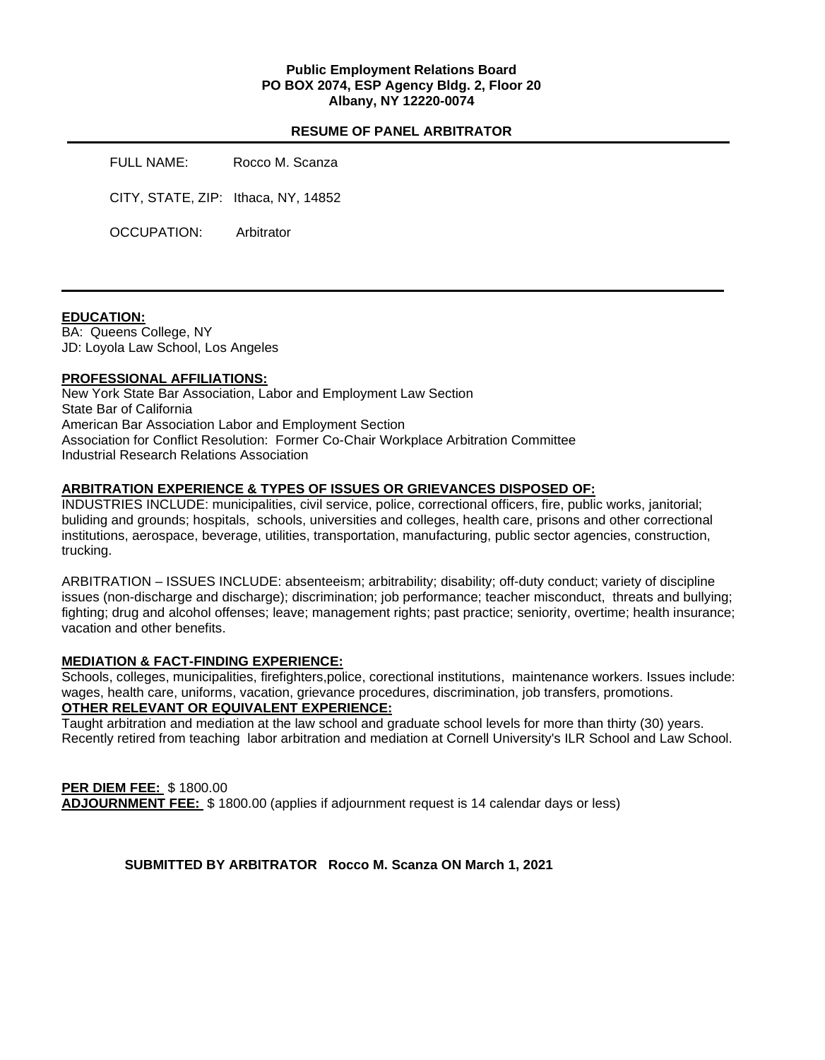### **Public Employment Relations Board PO BOX 2074, ESP Agency Bldg. 2, Floor 20 Albany, NY 12220-0074**

## **RESUME OF PANEL ARBITRATOR**

FULL NAME: Rocco M. Scanza CITY, STATE, ZIP: Ithaca, NY, 14852

OCCUPATION: Arbitrator

#### **EDUCATION:**

BA: Queens College, NY JD: Loyola Law School, Los Angeles

### **PROFESSIONAL AFFILIATIONS:**

New York State Bar Association, Labor and Employment Law Section State Bar of California American Bar Association Labor and Employment Section Association for Conflict Resolution: Former Co-Chair Workplace Arbitration Committee Industrial Research Relations Association

### **ARBITRATION EXPERIENCE & TYPES OF ISSUES OR GRIEVANCES DISPOSED OF:**

INDUSTRIES INCLUDE: municipalities, civil service, police, correctional officers, fire, public works, janitorial; buliding and grounds; hospitals, schools, universities and colleges, health care, prisons and other correctional institutions, aerospace, beverage, utilities, transportation, manufacturing, public sector agencies, construction, trucking.

ARBITRATION – ISSUES INCLUDE: absenteeism; arbitrability; disability; off-duty conduct; variety of discipline issues (non-discharge and discharge); discrimination; job performance; teacher misconduct, threats and bullying; fighting; drug and alcohol offenses; leave; management rights; past practice; seniority, overtime; health insurance; vacation and other benefits.

## **MEDIATION & FACT-FINDING EXPERIENCE:**

Schools, colleges, municipalities, firefighters,police, corectional institutions, maintenance workers. Issues include: wages, health care, uniforms, vacation, grievance procedures, discrimination, job transfers, promotions. **OTHER RELEVANT OR EQUIVALENT EXPERIENCE:** 

Taught arbitration and mediation at the law school and graduate school levels for more than thirty (30) years. Recently retired from teaching labor arbitration and mediation at Cornell University's ILR School and Law School.

### **PER DIEM FEE:** \$ 1800.00

**ADJOURNMENT FEE:** \$ 1800.00 (applies if adjournment request is 14 calendar days or less)

### **SUBMITTED BY ARBITRATOR Rocco M. Scanza ON March 1, 2021**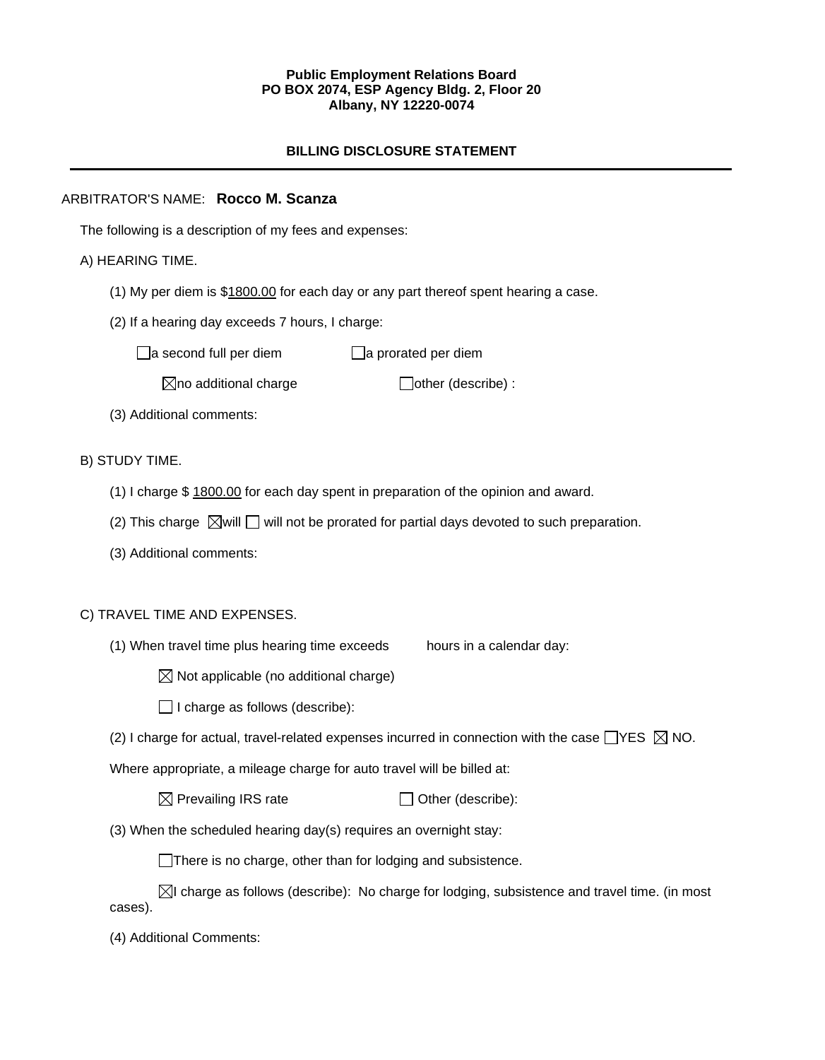### **Public Employment Relations Board PO BOX 2074, ESP Agency Bldg. 2, Floor 20 Albany, NY 12220-0074**

# **BILLING DISCLOSURE STATEMENT**

### ARBITRATOR'S NAME: **Rocco M. Scanza**

The following is a description of my fees and expenses:

### A) HEARING TIME.

- (1) My per diem is \$1800.00 for each day or any part thereof spent hearing a case.
- (2) If a hearing day exceeds 7 hours, I charge:

 $\Box$ a second full per diem  $\Box$ a prorated per diem

 $\boxtimes$ no additional charge  $\Box$ other (describe) :

(3) Additional comments:

### B) STUDY TIME.

- (1) I charge \$ 1800.00 for each day spent in preparation of the opinion and award.
- (2) This charge  $\boxtimes$  will  $\square$  will not be prorated for partial days devoted to such preparation.
- (3) Additional comments:

## C) TRAVEL TIME AND EXPENSES.

(1) When travel time plus hearing time exceeds hours in a calendar day:

 $\boxtimes$  Not applicable (no additional charge)

 $\Box$  I charge as follows (describe):

(2) I charge for actual, travel-related expenses incurred in connection with the case  $\Box$ YES  $\boxtimes$  NO.

Where appropriate, a mileage charge for auto travel will be billed at:

 $\boxtimes$  Prevailing IRS rate  $\Box$  Other (describe):

(3) When the scheduled hearing day(s) requires an overnight stay:

There is no charge, other than for lodging and subsistence.

 $\boxtimes$ I charge as follows (describe): No charge for lodging, subsistence and travel time. (in most cases).

(4) Additional Comments: